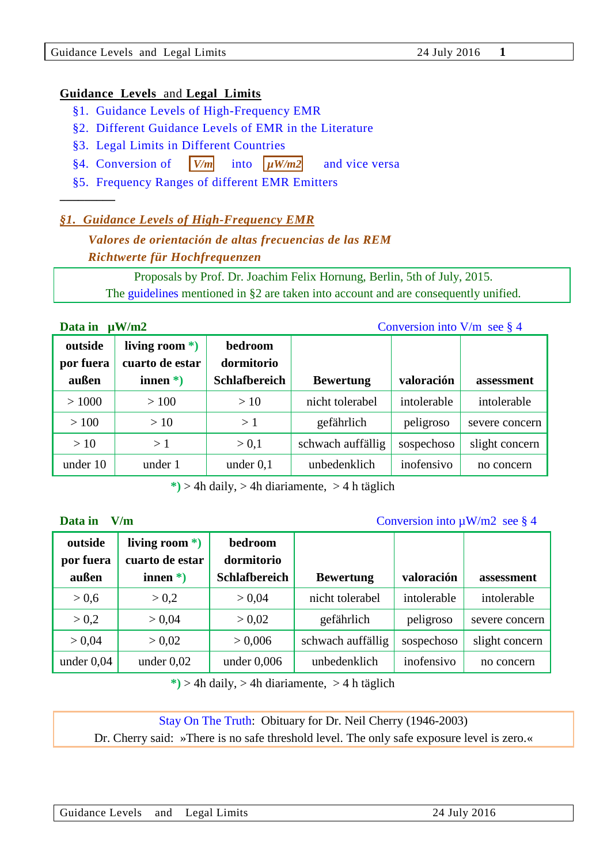#### **Guidance Levels** and **Legal Limits**

- [§1. Guidance Levels of High-Frequency EMR](#page-0-0)
- [§2. Different Guidance Levels of EMR in the Literature](#page-0-1)
- [§3. Legal Limits in Different Countries](#page-2-0)
- [§4. Conversion of](#page-3-0)  $|V/m|$  into  $|uW/m2|$  and vice versa
- [§5. Frequency Ranges of different EMR Emitters](#page-3-1)

## <span id="page-0-0"></span>*§1. [Guidance](http://dict.leo.org/ende/index_en.html#/search=guidance&searchLoc=0&resultOrder=basic&multiwordShowSingle=on) [Levels](http://dict.leo.org/ende/index_en.html#/search=level&searchLoc=0&resultOrder=basic&multiwordShowSingle=on) of High-Frequency EMR*

# *Valores de orientación de altas frecuencias de las REM Richtwerte für Hochfrequenzen*

Proposals by Prof. Dr. Joachim Felix Hornung, Berlin, 5th of July, 2015. The [guidelines](#page-0-1) mentioned in §2 are taken into account and are consequently unified.

#### **Data in uW/m2** [Conversion into V/m see § 4](#page-3-0)

**–––––––––**

| outside<br>por fuera | living room $*$ )<br>cuarto de estar | bedroom<br>dormitorio |                   |             |                |
|----------------------|--------------------------------------|-----------------------|-------------------|-------------|----------------|
| außen                | innen $*$ )                          | <b>Schlafbereich</b>  | <b>Bewertung</b>  | valoración  | assessment     |
| >1000                | >100                                 | >10                   | nicht tolerabel   | intolerable | intolerable    |
| >100                 | >10                                  | >1                    | gefährlich        | peligroso   | severe concern |
| >10                  | >1                                   | > 0.1                 | schwach auffällig | sospechoso  | slight concern |
| under 10             | under 1                              | under $0,1$           | unbedenklich      | inofensivo  | no concern     |

 **\*)** > 4h daily, > 4h diariamente, > 4 h täglich

**Data in** V/m Conversion into  $\mu$ W/m2 see § 4

| outside<br>por fuera<br>außen | living room $*$ )<br>cuarto de estar<br>innen $*$ ) | bedroom<br>dormitorio<br><b>Schlafbereich</b> | <b>Bewertung</b>  | valoración  | assessment     |
|-------------------------------|-----------------------------------------------------|-----------------------------------------------|-------------------|-------------|----------------|
| > 0, 6                        | > 0.2                                               | > 0.04                                        | nicht tolerabel   | intolerable | intolerable    |
| > 0.2                         | > 0.04                                              | > 0.02                                        | gefährlich        | peligroso   | severe concern |
| > 0.04                        | > 0.02                                              | > 0,006                                       | schwach auffällig | sospechoso  | slight concern |
| under $0,04$                  | under $0.02$                                        | under $0,006$                                 | unbedenklich      | inofensivo  | no concern     |

 $\ast$ ) > 4h daily, > 4h diariamente, > 4 h täglich

[Stay On The Truth:](http://www.stayonthetruth.com/neil-cherry.php) Obituary for Dr. Neil Cherry (1946-2003)

<span id="page-0-1"></span>Dr. Cherry said: »There is no safe threshold level. The only safe exposure level is zero.«

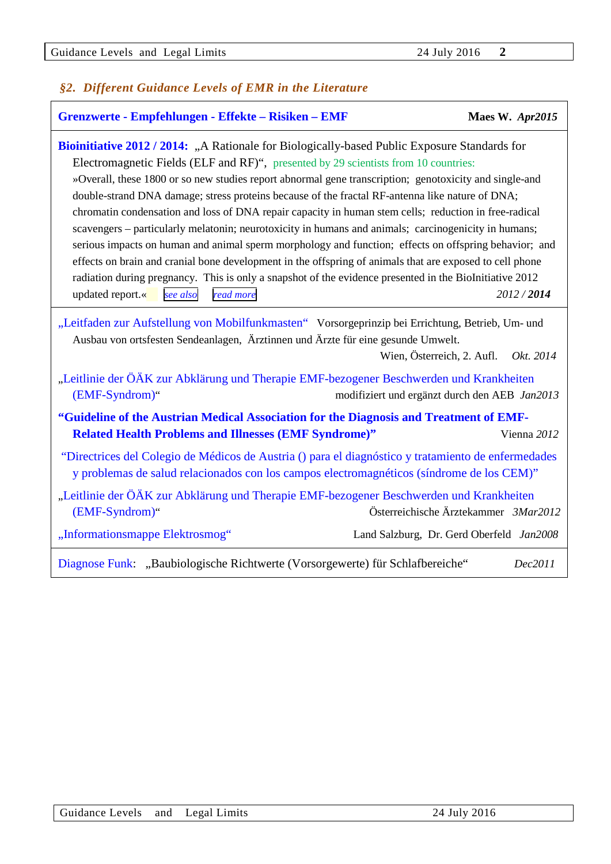## *§2. Different Guidance Levels of EMR in the Literature*

| Grenzwerte - Empfehlungen - Effekte - Risiken - EMF                                                                                                                                                                                                                                                                                                                                                                                                                                                                                                                                                                                                                                                                                                                                                                                                                                                                                                                                                   | Maes W. Apr2015                               |
|-------------------------------------------------------------------------------------------------------------------------------------------------------------------------------------------------------------------------------------------------------------------------------------------------------------------------------------------------------------------------------------------------------------------------------------------------------------------------------------------------------------------------------------------------------------------------------------------------------------------------------------------------------------------------------------------------------------------------------------------------------------------------------------------------------------------------------------------------------------------------------------------------------------------------------------------------------------------------------------------------------|-----------------------------------------------|
| <b>Bioinitiative 2012 / 2014:</b> "A Rationale for Biologically-based Public Exposure Standards for<br>Electromagnetic Fields (ELF and RF)", presented by 29 scientists from 10 countries:<br>»Overall, these 1800 or so new studies report abnormal gene transcription; genotoxicity and single-and<br>double-strand DNA damage; stress proteins because of the fractal RF-antenna like nature of DNA;<br>chromatin condensation and loss of DNA repair capacity in human stem cells; reduction in free-radical<br>scavengers – particularly melatonin; neurotoxicity in humans and animals; carcinogenicity in humans;<br>serious impacts on human and animal sperm morphology and function; effects on offspring behavior; and<br>effects on brain and cranial bone development in the offspring of animals that are exposed to cell phone<br>radiation during pregnancy. This is only a snapshot of the evidence presented in the BioInitiative 2012<br>updated report.«<br>read more<br>see also | 2012/2014                                     |
| "Leitfaden zur Aufstellung von Mobilfunkmasten" Vorsorgeprinzip bei Errichtung, Betrieb, Um- und<br>Ausbau von ortsfesten Sendeanlagen, Ärztinnen und Ärzte für eine gesunde Umwelt.                                                                                                                                                                                                                                                                                                                                                                                                                                                                                                                                                                                                                                                                                                                                                                                                                  | Wien, Österreich, 2. Aufl.<br>Okt. 2014       |
| "Leitlinie der ÖÄK zur Abklärung und Therapie EMF-bezogener Beschwerden und Krankheiten<br>(EMF-Syndrom)"                                                                                                                                                                                                                                                                                                                                                                                                                                                                                                                                                                                                                                                                                                                                                                                                                                                                                             | modifiziert und ergänzt durch den AEB Jan2013 |
| "Guideline of the Austrian Medical Association for the Diagnosis and Treatment of EMF-<br><b>Related Health Problems and Illnesses (EMF Syndrome)"</b>                                                                                                                                                                                                                                                                                                                                                                                                                                                                                                                                                                                                                                                                                                                                                                                                                                                | Vienna 2012                                   |
| "Directrices del Colegio de Médicos de Austria () para el diagnóstico y tratamiento de enfermedades<br>y problemas de salud relacionados con los campos electromagnéticos (síndrome de los CEM)"                                                                                                                                                                                                                                                                                                                                                                                                                                                                                                                                                                                                                                                                                                                                                                                                      |                                               |
| "Leitlinie der ÖÄK zur Abklärung und Therapie EMF-bezogener Beschwerden und Krankheiten<br>(EMF-Syndrom)"                                                                                                                                                                                                                                                                                                                                                                                                                                                                                                                                                                                                                                                                                                                                                                                                                                                                                             | Österreichische Ärztekammer 3Mar2012          |
| "Informationsmappe Elektrosmog"                                                                                                                                                                                                                                                                                                                                                                                                                                                                                                                                                                                                                                                                                                                                                                                                                                                                                                                                                                       | Land Salzburg, Dr. Gerd Oberfeld Jan2008      |
| Diagnose Funk: "Baubiologische Richtwerte (Vorsorgewerte) für Schlafbereiche"                                                                                                                                                                                                                                                                                                                                                                                                                                                                                                                                                                                                                                                                                                                                                                                                                                                                                                                         | Dec2011                                       |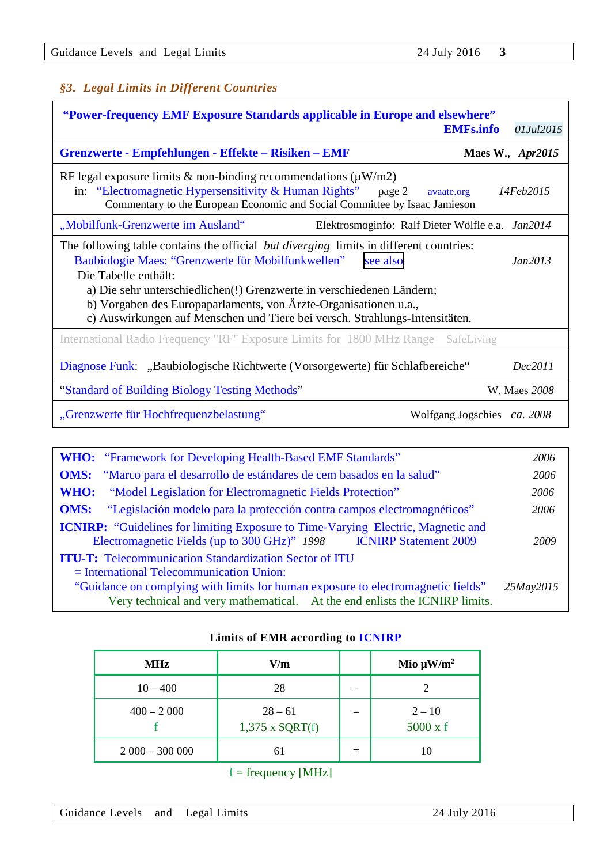## <span id="page-2-0"></span>*§3. Legal Limits in Different Countries*

| "Power-frequency EMF Exposure Standards applicable in Europe and elsewhere"<br><b>EMFs.info</b><br>01Jul2015                                                                                                                                                     |                         |  |  |  |  |  |
|------------------------------------------------------------------------------------------------------------------------------------------------------------------------------------------------------------------------------------------------------------------|-------------------------|--|--|--|--|--|
| Grenzwerte - Empfehlungen - Effekte – Risiken – EMF                                                                                                                                                                                                              | <b>Maes W., Apr2015</b> |  |  |  |  |  |
| RF legal exposure limits & non-binding recommendations ( $\mu$ W/m2)<br>in: "Electromagnetic Hypersensitivity & Human Rights"<br>page 2<br>avaate.org<br>Commentary to the European Economic and Social Committee by Isaac Jamieson                              | 14Feb2015               |  |  |  |  |  |
| "Mobilfunk-Grenzwerte im Ausland"<br>Elektrosmoginfo: Ralf Dieter Wölfle e.a. Jan2014                                                                                                                                                                            |                         |  |  |  |  |  |
| The following table contains the official <i>but diverging</i> limits in different countries:<br>Baubiologie Maes: "Grenzwerte für Mobilfunkwellen"<br>see also<br>Die Tabelle enthält:<br>a) Die sehr unterschiedlichen(!) Grenzwerte in verschiedenen Ländern; | Jan2013                 |  |  |  |  |  |
| b) Vorgaben des Europaparlaments, von Ärzte-Organisationen u.a.,<br>c) Auswirkungen auf Menschen und Tiere bei versch. Strahlungs-Intensitäten.                                                                                                                  |                         |  |  |  |  |  |
| International Radio Frequency "RF" Exposure Limits for 1800 MHz Range<br>SafeLiving                                                                                                                                                                              |                         |  |  |  |  |  |
| Diagnose Funk: "Baubiologische Richtwerte (Vorsorgewerte) für Schlafbereiche"                                                                                                                                                                                    | Dec2011                 |  |  |  |  |  |
| "Standard of Building Biology Testing Methods"                                                                                                                                                                                                                   | W. Maes 2008            |  |  |  |  |  |
| "Grenzwerte für Hochfrequenzbelastung"<br>Wolfgang Jogschies ca. 2008                                                                                                                                                                                            |                         |  |  |  |  |  |

| <b>WHO:</b> "Framework for Developing Health-Based EMF Standards"                                                                                                       | 2006      |  |  |  |
|-------------------------------------------------------------------------------------------------------------------------------------------------------------------------|-----------|--|--|--|
| <b>OMS:</b> "Marco para el desarrollo de estándares de cem basados en la salud"                                                                                         | 2006      |  |  |  |
| <b>WHO:</b> "Model Legislation for Electromagnetic Fields Protection"                                                                                                   | 2006      |  |  |  |
| "Legislación modelo para la protección contra campos electromagnéticos"<br><b>OMS:</b>                                                                                  | 2006      |  |  |  |
| <b>ICNIRP:</b> "Guidelines for limiting Exposure to Time-Varying Electric, Magnetic and<br><b>ICNIRP Statement 2009</b><br>Electromagnetic Fields (up to 300 GHz)" 1998 | 2009      |  |  |  |
| <b>ITU-T:</b> Telecommunication Standardization Sector of ITU<br>$=$ International Telecommunication Union:                                                             |           |  |  |  |
| "Guidance on complying with limits for human exposure to electromagnetic fields"<br>Very technical and very mathematical. At the end enlists the ICNIRP limits.         | 25May2015 |  |  |  |

| Limits of EMR according to <b>ICNIRP</b> |  |
|------------------------------------------|--|
|------------------------------------------|--|

| <b>MHz</b>      | V/m                            | Mio $\mu$ W/m <sup>2</sup>  |
|-----------------|--------------------------------|-----------------------------|
| $10 - 400$      | 28                             |                             |
| $400 - 2000$    | $28 - 61$<br>$1,375$ x SQRT(f) | $2 - 10$<br>$5000 \times f$ |
| $2000 - 300000$ |                                | 10                          |

## $f = frequency [MHz]$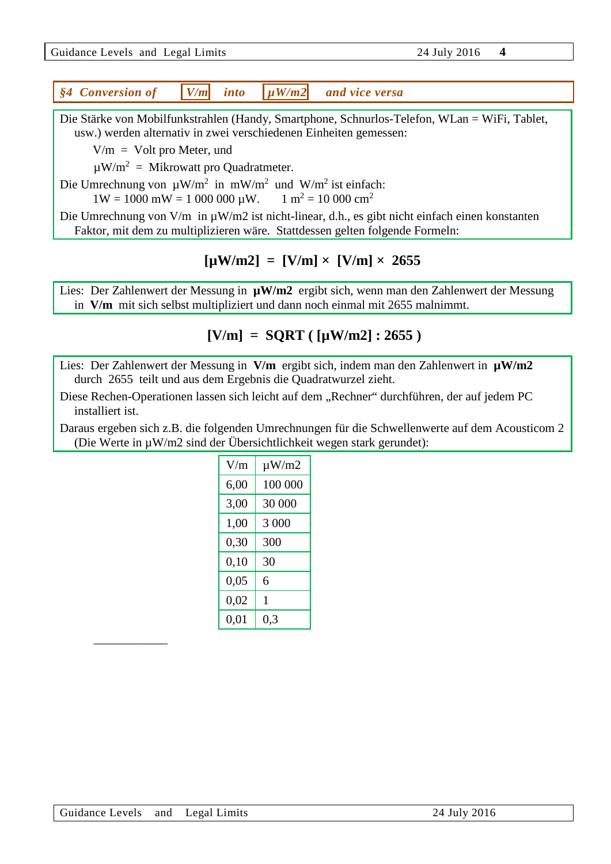|  | Guidance Levels and Legal Limits |  |  |  |  |
|--|----------------------------------|--|--|--|--|
|--|----------------------------------|--|--|--|--|

Guidance Levels and Legal Limits 24 July 2016 **4**

<span id="page-3-0"></span>

|  | §4 Conversion of |  | $ V/m $ into | $\mu$ W/m2 | and vice versa |
|--|------------------|--|--------------|------------|----------------|
|--|------------------|--|--------------|------------|----------------|

Die Stärke von Mobilfunkstrahlen (Handy, Smartphone, Schnurlos-Telefon, WLan = WiFi, Tablet, usw.) werden alternativ in zwei verschiedenen Einheiten gemessen:

 $V/m = Volt$  pro Meter, und

 $\mu$ W/m<sup>2</sup> = Mikrowatt pro Quadratmeter.

Die Umrechnung von  $\mu W/m^2$  in mW/m<sup>2</sup> und W/m<sup>2</sup> ist einfach:

 $1W = 1000$  mW = 1 000 000  $\mu$ W. 1 m<sup>2</sup> = 10 000 cm<sup>2</sup>

Die Umrechnung von V/m in  $\mu$ W/m2 ist nicht-linear, d.h., es gibt nicht einfach einen konstanten Faktor, mit dem zu multiplizieren wäre. Stattdessen gelten folgende Formeln:

## $[\mu W/m2] = [V/m] \times [V/m] \times 2655$

Lies: Der Zahlenwert der Messung in  $\mu W/m2$  ergibt sich, wenn man den Zahlenwert der Messung in **V/m** mit sich selbst multipliziert und dann noch einmal mit 2655 malnimmt.

## **[V/m] = SQRT ( [µW/m2] : 2655 )**

Lies: Der Zahlenwert der Messung in **V/m** ergibt sich, indem man den Zahlenwert in  $\mu$ W/m2 durch 2655 teilt und aus dem Ergebnis die Quadratwurzel zieht.

Diese Rechen-Operationen lassen sich leicht auf dem "Rechner" durchführen, der auf jedem PC installiert ist.

Daraus ergeben sich z.B. die folgenden Umrechnungen für die Schwellenwerte auf dem Acousticom 2 (Die Werte in µW/m2 sind der Übersichtlichkeit wegen stark gerundet):

| V/m  | $\mu W/m2$ |
|------|------------|
| 6,00 | 100 000    |
| 3,00 | 30 000     |
| 1,00 | 3 000      |
| 0,30 | 300        |
| 0,10 | 30         |
| 0,05 | 6          |
| 0,02 | 1          |
| 0,01 | 0,3        |

<span id="page-3-1"></span>––––––––––––